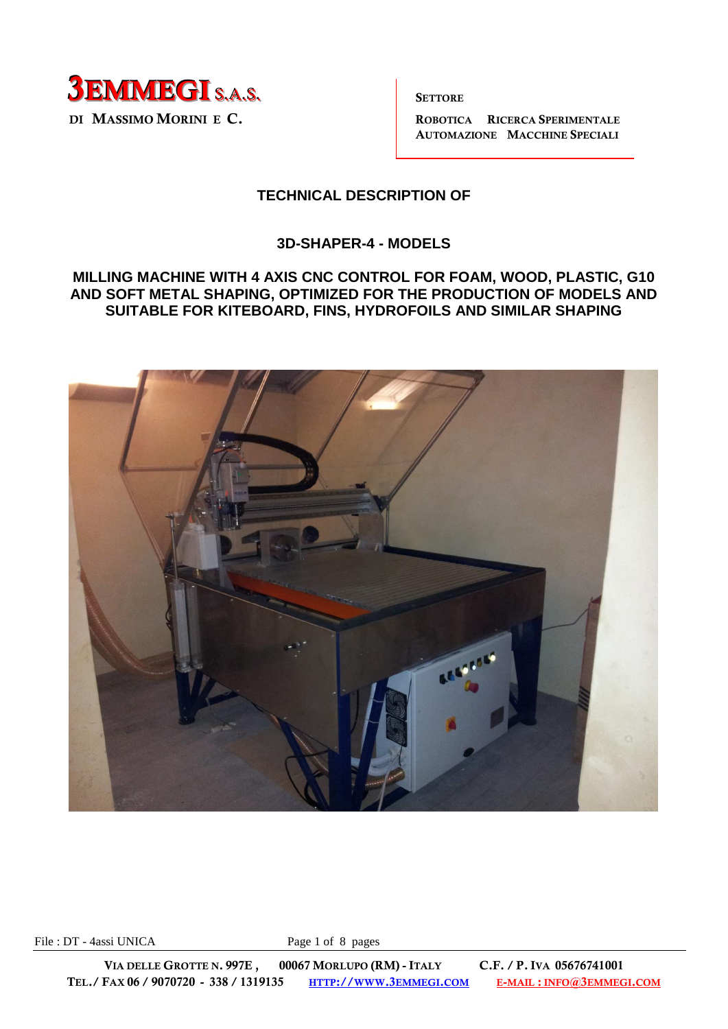

**AUTOMAZIONE MACCHINE SPECIALI**

# **TECHNICAL DESCRIPTION OF**

## **3D-SHAPER-4 - MODELS**

### **MILLING MACHINE WITH 4 AXIS CNC CONTROL FOR FOAM, WOOD, PLASTIC, G10 AND SOFT METAL SHAPING, OPTIMIZED FOR THE PRODUCTION OF MODELS AND SUITABLE FOR KITEBOARD, FINS, HYDROFOILS AND SIMILAR SHAPING**



File : DT - 4assi UNICA Page 1 of 8 pages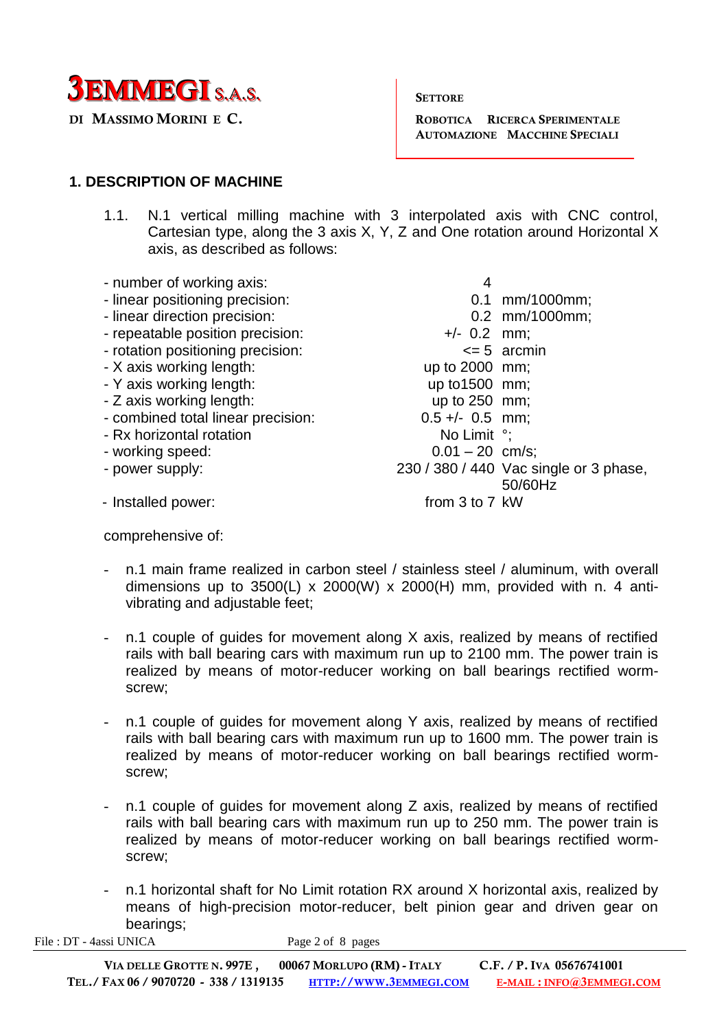

**DI MASSIMO MORINI E C. ROBOTICA RICERCA SPERIMENTALE AUTOMAZIONE MACCHINE SPECIALI**

# **1. DESCRIPTION OF MACHINE**

- 1.1. N.1 vertical milling machine with 3 interpolated axis with CNC control, Cartesian type, along the 3 axis X, Y, Z and One rotation around Horizontal X axis, as described as follows:
- number of working axis: 4 - linear positioning precision: 0.1 mm/1000mm; - linear direction precision: 0.2 mm/1000mm; - repeatable position precision:  $+/- 0.2$  mm; - rotation positioning precision: <= 5 arcmin - X axis working length: up to 2000 mm; - Y axis working length: up to 1500 mm; - Z axis working length: up to 250 mm; - combined total linear precision: 0.5 +/- 0.5 mm; - Rx horizontal rotation No Limit °; - working speed:  $0.01 - 20$  cm/s; - power supply: 230 / 380 / 440 Vac single or 3 phase, 50/60Hz - Installed power: from 3 to 7 kW

comprehensive of:

- n.1 main frame realized in carbon steel / stainless steel / aluminum, with overall dimensions up to  $3500(L) \times 2000(W) \times 2000(H)$  mm, provided with n. 4 antivibrating and adjustable feet;
- n.1 couple of quides for movement along X axis, realized by means of rectified rails with ball bearing cars with maximum run up to 2100 mm. The power train is realized by means of motor-reducer working on ball bearings rectified wormscrew;
- n.1 couple of guides for movement along Y axis, realized by means of rectified rails with ball bearing cars with maximum run up to 1600 mm. The power train is realized by means of motor-reducer working on ball bearings rectified wormscrew;
- n.1 couple of guides for movement along Z axis, realized by means of rectified rails with ball bearing cars with maximum run up to 250 mm. The power train is realized by means of motor-reducer working on ball bearings rectified wormscrew;
- n.1 horizontal shaft for No Limit rotation RX around X horizontal axis, realized by means of high-precision motor-reducer, belt pinion gear and driven gear on bearings;

File : DT - 4assi UNICA Page 2 of 8 pages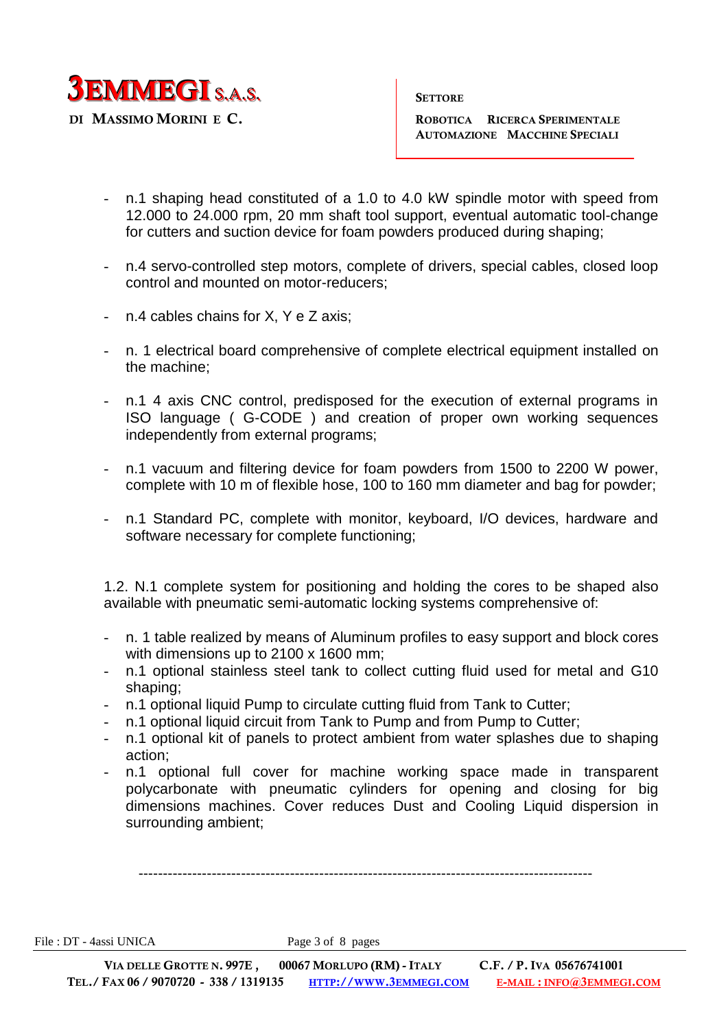

**AUTOMAZIONE MACCHINE SPECIALI**

- n.1 shaping head constituted of a 1.0 to 4.0 kW spindle motor with speed from 12.000 to 24.000 rpm, 20 mm shaft tool support, eventual automatic tool-change for cutters and suction device for foam powders produced during shaping;
- n.4 servo-controlled step motors, complete of drivers, special cables, closed loop control and mounted on motor-reducers;
- n.4 cables chains for X, Y e Z axis;
- n. 1 electrical board comprehensive of complete electrical equipment installed on the machine;
- n.1 4 axis CNC control, predisposed for the execution of external programs in ISO language ( G-CODE ) and creation of proper own working sequences independently from external programs;
- n.1 vacuum and filtering device for foam powders from 1500 to 2200 W power, complete with 10 m of flexible hose, 100 to 160 mm diameter and bag for powder;
- n.1 Standard PC, complete with monitor, keyboard, I/O devices, hardware and software necessary for complete functioning;

1.2. N.1 complete system for positioning and holding the cores to be shaped also available with pneumatic semi-automatic locking systems comprehensive of:

- n. 1 table realized by means of Aluminum profiles to easy support and block cores with dimensions up to 2100 x 1600 mm;
- n.1 optional stainless steel tank to collect cutting fluid used for metal and G10 shaping;
- n.1 optional liquid Pump to circulate cutting fluid from Tank to Cutter;
- n.1 optional liquid circuit from Tank to Pump and from Pump to Cutter;
- n.1 optional kit of panels to protect ambient from water splashes due to shaping action;
- n.1 optional full cover for machine working space made in transparent polycarbonate with pneumatic cylinders for opening and closing for big dimensions machines. Cover reduces Dust and Cooling Liquid dispersion in surrounding ambient;

---------------------------------------------------------------------------------------------

File : DT - 4assi UNICA Page 3 of 8 pages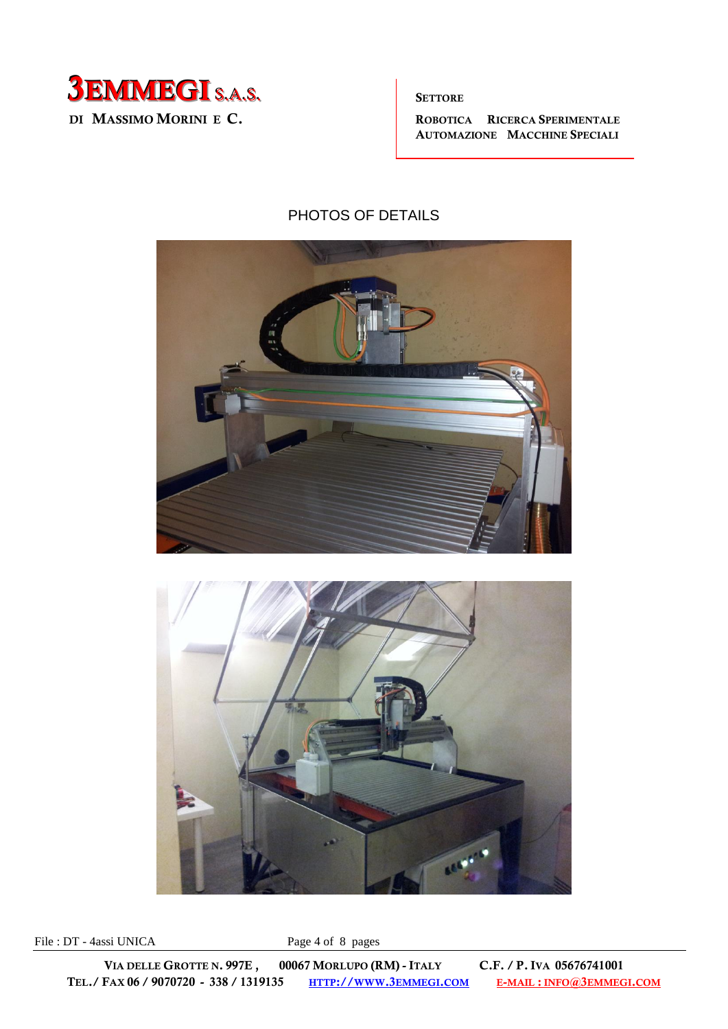

# PHOTOS OF DETAILS





File : DT - 4assi UNICA Page 4 of 8 pages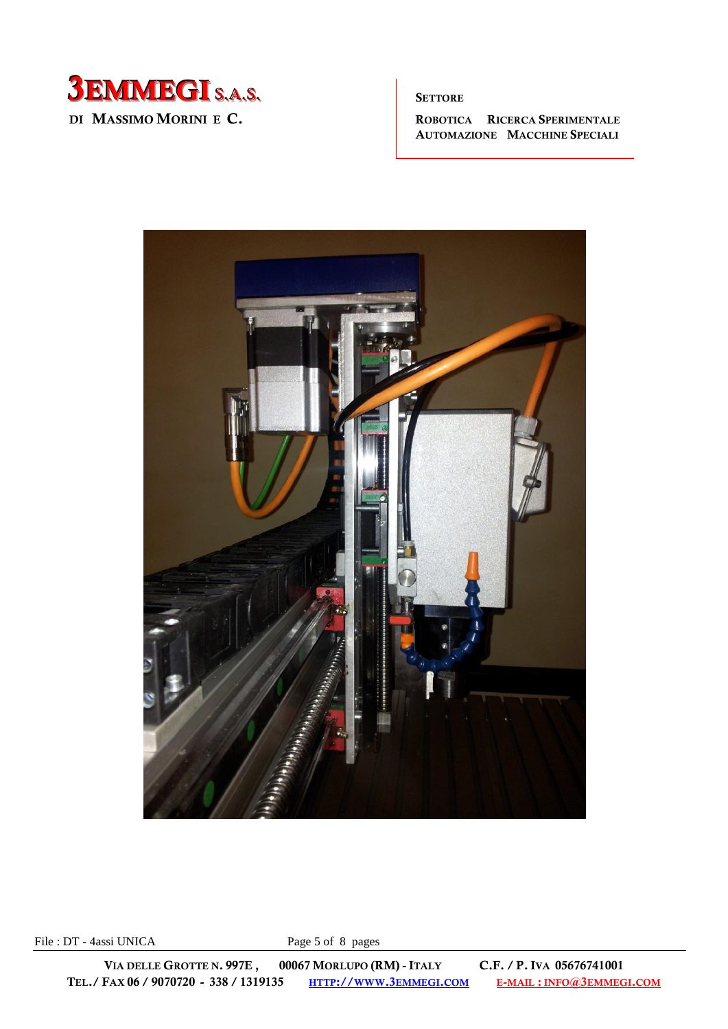



File : DT - 4assi UNICA Page 5 of 8 pages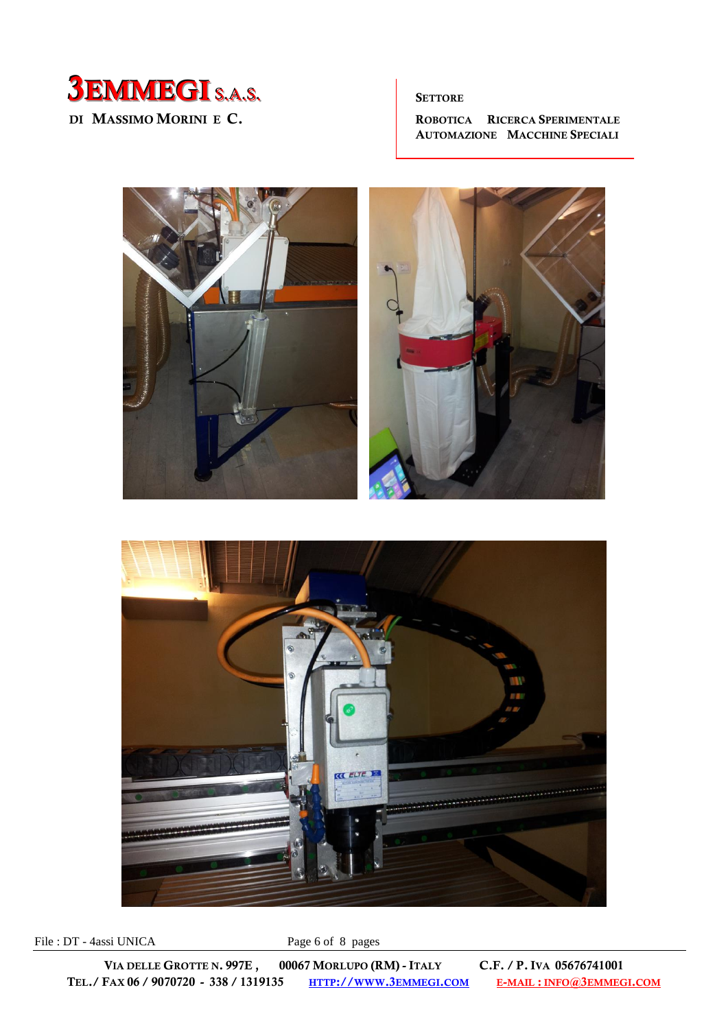



File : DT - 4assi UNICA Page 6 of 8 pages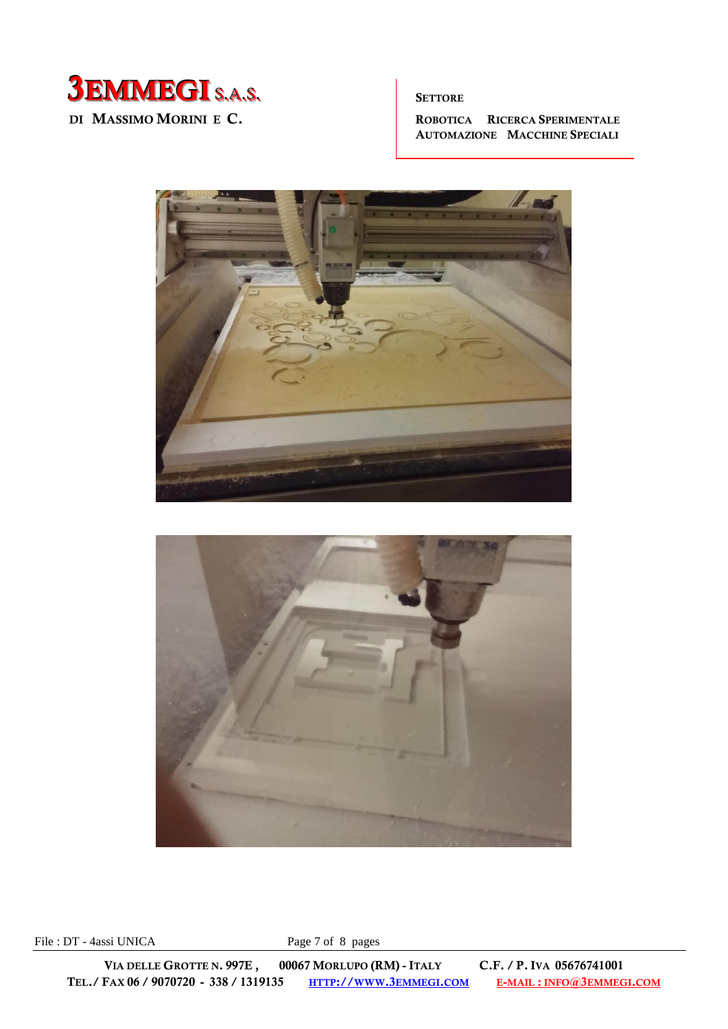





File : DT - 4assi UNICA Page 7 of 8 pages